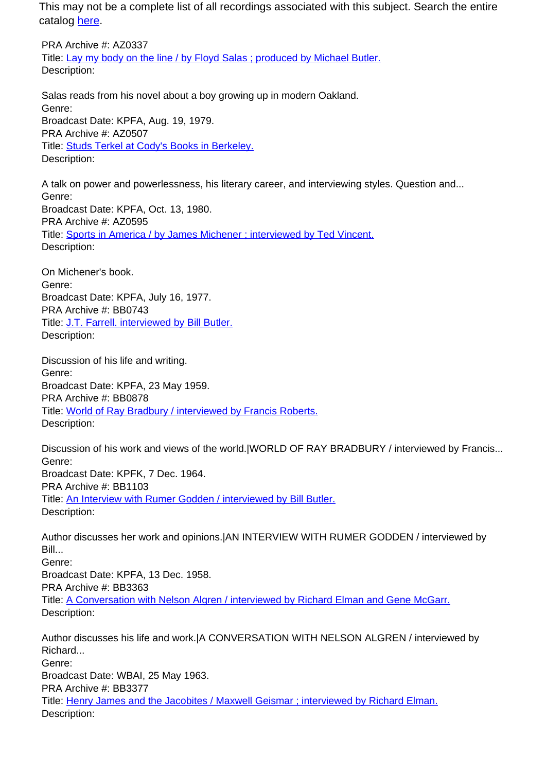PRA Archive #: AZ0337 Title: Lay my body on the line / by Floyd Salas ; produced by Michael Butler. Description:

Salas reads from his novel about a boy growing up in modern Oakland. Genre: Broadcast Date: KPFA, Aug. 19, 1979. PRA Archive #: AZ0507 Title: Studs Terkel at Cody's Books in Berkeley. Description:

A talk on power and powerlessness, his literary career, and interviewing styles. Question and... Genre: Broadcast Date: KPFA, Oct. 13, 1980. PRA Archive #: AZ0595 Title: Sports in America / by James Michener ; interviewed by Ted Vincent. Description:

On Michener's book. Genre: Broadcast Date: KPFA, July 16, 1977. PRA Archive #: BB0743 Title: J.T. Farrell. interviewed by Bill Butler. Description:

Discussion of his life and writing. Genre: Broadcast Date: KPFA, 23 May 1959. PRA Archive #: BB0878 Title: World of Ray Bradbury / interviewed by Francis Roberts. Description:

Discussion of his work and views of the world.|WORLD OF RAY BRADBURY / interviewed by Francis... Genre: Broadcast Date: KPFK, 7 Dec. 1964. PRA Archive #: BB1103 Title: An Interview with Rumer Godden / interviewed by Bill Butler. Description:

Author discusses her work and opinions.|AN INTERVIEW WITH RUMER GODDEN / interviewed by Bill... Genre: Broadcast Date: KPFA, 13 Dec. 1958. PRA Archive #: BB3363 Title: A Conversation with Nelson Algren / interviewed by Richard Elman and Gene McGarr. Description:

Author discusses his life and work.|A CONVERSATION WITH NELSON ALGREN / interviewed by Richard... Genre: Broadcast Date: WBAI, 25 May 1963. PRA Archive #: BB3377 Title: Henry James and the Jacobites / Maxwell Geismar ; interviewed by Richard Elman. Description: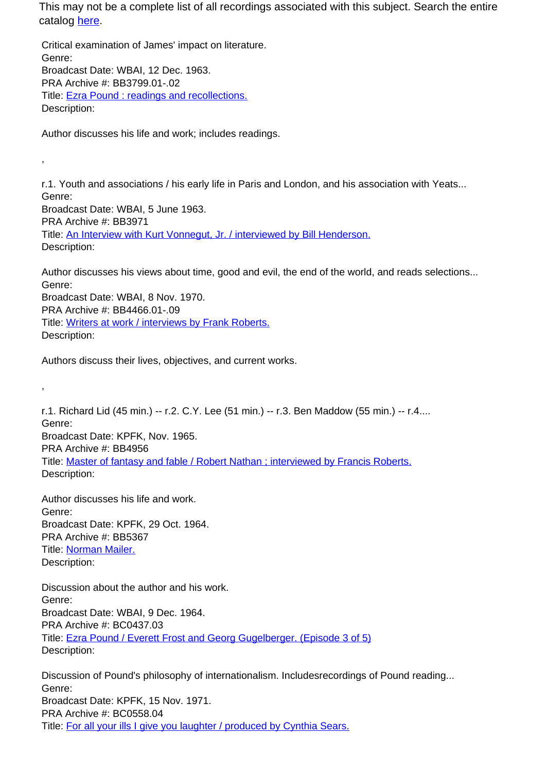Critical examination of James' impact on literature. Genre: Broadcast Date: WBAI, 12 Dec. 1963. PRA Archive #: BB3799.01-.02 Title: Ezra Pound : readings and recollections. Description:

Author discusses his life and work; includes readings.

r.1. Youth and associations / his early life in Paris and London, and his association with Yeats... Genre: Broadcast Date: WBAI, 5 June 1963. PRA Archive #: BB3971 Title: An Interview with Kurt Vonnegut, Jr. / interviewed by Bill Henderson. Description:

Author discusses his views about time, good and evil, the end of the world, and reads selections... Genre: Broadcast Date: WBAI, 8 Nov. 1970. PRA Archive #: BB4466.01-.09 Title: Writers at work / interviews by Frank Roberts.

Description:

,

,

Authors discuss their lives, objectives, and current works.

r.1. Richard Lid (45 min.) -- r.2. C.Y. Lee (51 min.) -- r.3. Ben Maddow (55 min.) -- r.4.... Genre: Broadcast Date: KPFK, Nov. 1965. PRA Archive #: BB4956 Title: Master of fantasy and fable / Robert Nathan ; interviewed by Francis Roberts. Description:

Author discusses his life and work. Genre: Broadcast Date: KPFK, 29 Oct. 1964. PRA Archive #: BB5367 Title: Norman Mailer. Description:

Discussion about the author and his work. Genre: Broadcast Date: WBAI, 9 Dec. 1964. PRA Archive #: BC0437.03 Title: Ezra Pound / Everett Frost and Georg Gugelberger. (Episode 3 of 5) Description:

Discussion of Pound's philosophy of internationalism. Includesrecordings of Pound reading... Genre: Broadcast Date: KPFK, 15 Nov. 1971. PRA Archive #: BC0558.04 Title: For all your ills I give you laughter / produced by Cynthia Sears.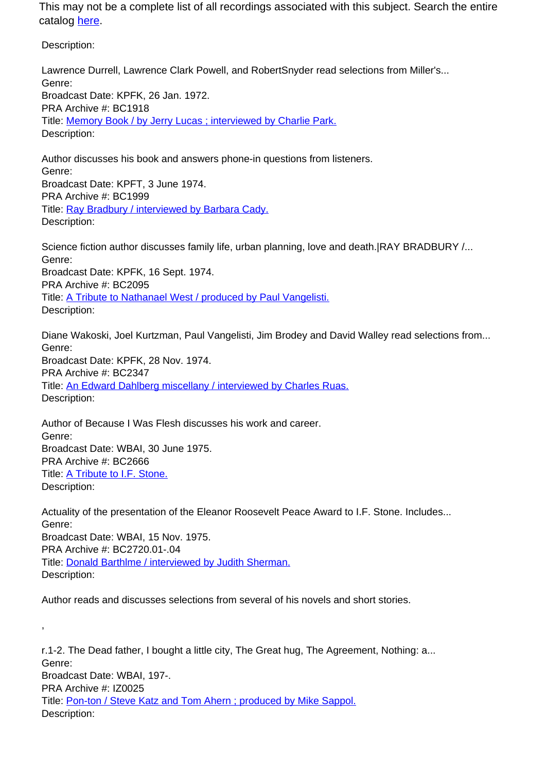Description:

,

Lawrence Durrell, Lawrence Clark Powell, and RobertSnyder read selections from Miller's... Genre: Broadcast Date: KPFK, 26 Jan. 1972. PRA Archive #: BC1918 Title: Memory Book / by Jerry Lucas ; interviewed by Charlie Park. Description:

Author discusses his book and answers phone-in questions from listeners. Genre: Broadcast Date: KPFT, 3 June 1974. PRA Archive #: BC1999 Title: Ray Bradbury / interviewed by Barbara Cady. Description:

Science fiction author discusses family life, urban planning, love and death. RAY BRADBURY /... Genre: Broadcast Date: KPFK, 16 Sept. 1974. PRA Archive #: BC2095 Title: A Tribute to Nathanael West / produced by Paul Vangelisti. Description:

Diane Wakoski, Joel Kurtzman, Paul Vangelisti, Jim Brodey and David Walley read selections from... Genre: Broadcast Date: KPFK, 28 Nov. 1974. PRA Archive #: BC2347 Title: An Edward Dahlberg miscellany / interviewed by Charles Ruas. Description:

Author of Because I Was Flesh discusses his work and career. Genre: Broadcast Date: WBAI, 30 June 1975. PRA Archive #: BC2666 Title: A Tribute to I.F. Stone. Description:

Actuality of the presentation of the Eleanor Roosevelt Peace Award to I.F. Stone. Includes... Genre: Broadcast Date: WBAI, 15 Nov. 1975. PRA Archive #: BC2720.01-.04 Title: Donald Barthlme / interviewed by Judith Sherman. Description:

Author reads and discusses selections from several of his novels and short stories.

r.1-2. The Dead father, I bought a little city, The Great hug, The Agreement, Nothing: a... Genre: Broadcast Date: WBAI, 197-. PRA Archive #: IZ0025 Title: Pon-ton / Steve Katz and Tom Ahern ; produced by Mike Sappol. Description: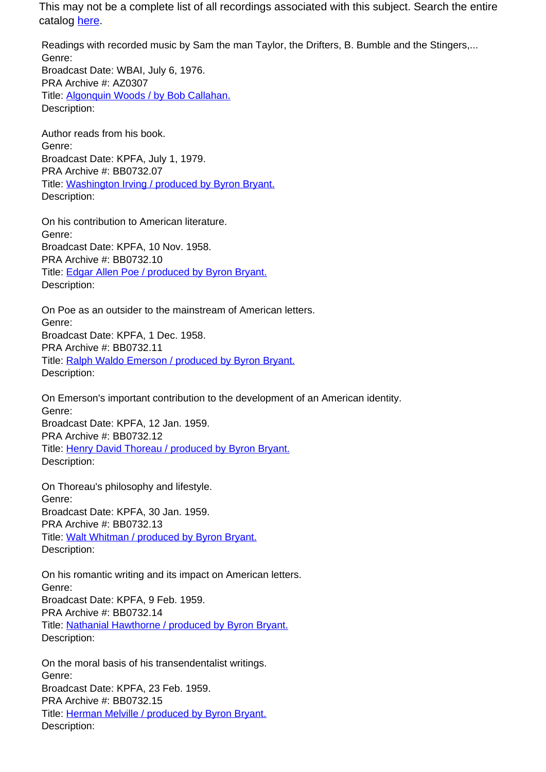Readings with recorded music by Sam the man Taylor, the Drifters, B. Bumble and the Stingers,... Genre: Broadcast Date: WBAI, July 6, 1976. PRA Archive #: AZ0307 Title: Algonquin Woods / by Bob Callahan. Description:

Author reads from his book. Genre: Broadcast Date: KPFA, July 1, 1979. PRA Archive #: BB0732.07 Title: Washington Irving / produced by Byron Bryant. Description:

On his contribution to American literature. Genre: Broadcast Date: KPFA, 10 Nov. 1958. PRA Archive #: BB0732.10 Title: Edgar Allen Poe / produced by Byron Bryant. Description:

On Poe as an outsider to the mainstream of American letters. Genre: Broadcast Date: KPFA, 1 Dec. 1958. PRA Archive #: BB0732.11 Title: Ralph Waldo Emerson / produced by Byron Bryant. Description:

On Emerson's important contribution to the development of an American identity. Genre: Broadcast Date: KPFA, 12 Jan. 1959. PRA Archive #: BB0732.12 Title: Henry David Thoreau / produced by Byron Bryant. Description:

On Thoreau's philosophy and lifestyle. Genre: Broadcast Date: KPFA, 30 Jan. 1959. PRA Archive #: BB0732.13 Title: Walt Whitman / produced by Byron Bryant. Description:

On his romantic writing and its impact on American letters. Genre: Broadcast Date: KPFA, 9 Feb. 1959. PRA Archive #: BB0732.14 Title: Nathanial Hawthorne / produced by Byron Bryant. Description:

On the moral basis of his transendentalist writings. Genre: Broadcast Date: KPFA, 23 Feb. 1959. PRA Archive #: BB0732.15 Title: Herman Melville / produced by Byron Bryant. Description: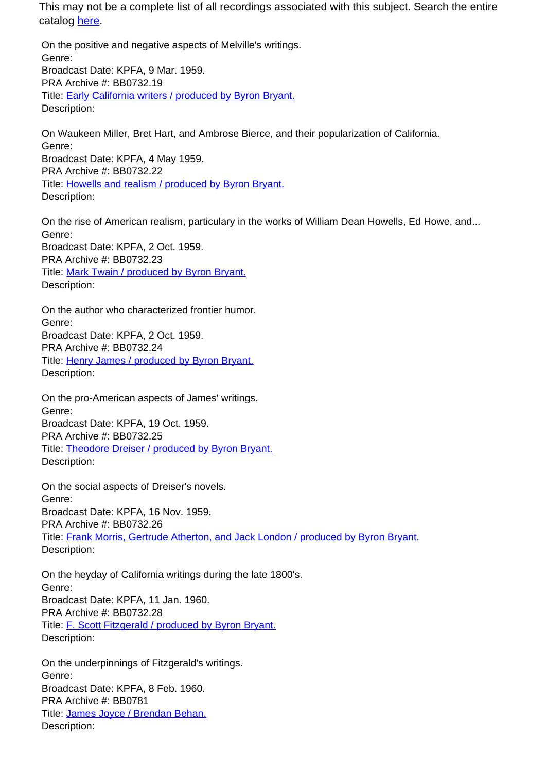On the positive and negative aspects of Melville's writings. Genre: Broadcast Date: KPFA, 9 Mar. 1959. PRA Archive #: BB0732.19 Title: Early California writers / produced by Byron Bryant. Description:

On Waukeen Miller, Bret Hart, and Ambrose Bierce, and their popularization of California. Genre: Broadcast Date: KPFA, 4 May 1959. PRA Archive #: BB0732.22 Title: Howells and realism / produced by Byron Bryant. Description:

On the rise of American realism, particulary in the works of William Dean Howells, Ed Howe, and... Genre: Broadcast Date: KPFA, 2 Oct. 1959. PRA Archive #: BB0732.23 Title: Mark Twain / produced by Byron Bryant. Description:

On the author who characterized frontier humor. Genre: Broadcast Date: KPFA, 2 Oct. 1959. PRA Archive #: BB0732.24 Title: Henry James / produced by Byron Bryant. Description:

On the pro-American aspects of James' writings. Genre: Broadcast Date: KPFA, 19 Oct. 1959. PRA Archive #: BB0732.25 Title: Theodore Dreiser / produced by Byron Bryant. Description:

On the social aspects of Dreiser's novels. Genre: Broadcast Date: KPFA, 16 Nov. 1959. PRA Archive #: BB0732.26 Title: Frank Morris, Gertrude Atherton, and Jack London / produced by Byron Bryant. Description:

On the heyday of California writings during the late 1800's. Genre: Broadcast Date: KPFA, 11 Jan. 1960. PRA Archive #: BB0732.28 Title: **F. Scott Fitzgerald / produced by Byron Bryant.** Description:

On the underpinnings of Fitzgerald's writings. Genre: Broadcast Date: KPFA, 8 Feb. 1960. PRA Archive #: BB0781 Title: James Joyce / Brendan Behan. Description: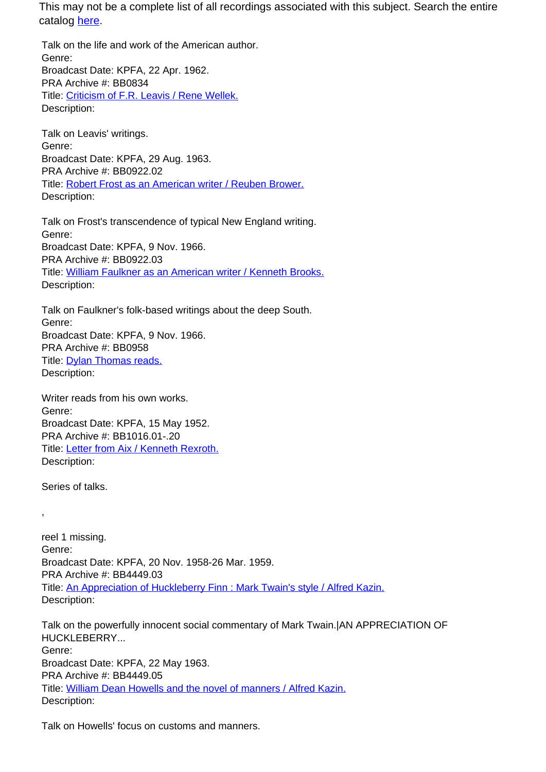Talk on the life and work of the American author. Genre: Broadcast Date: KPFA, 22 Apr. 1962. PRA Archive #: BB0834 Title: Criticism of F.R. Leavis / Rene Wellek. Description:

Talk on Leavis' writings. Genre: Broadcast Date: KPFA, 29 Aug. 1963. PRA Archive #: BB0922.02 Title: Robert Frost as an American writer / Reuben Brower. Description:

Talk on Frost's transcendence of typical New England writing. Genre: Broadcast Date: KPFA, 9 Nov. 1966. PRA Archive #: BB0922.03 Title: William Faulkner as an American writer / Kenneth Brooks. Description:

Talk on Faulkner's folk-based writings about the deep South. Genre: Broadcast Date: KPFA, 9 Nov. 1966. PRA Archive #: BB0958 Title: **Dylan Thomas reads.** Description:

Writer reads from his own works. Genre: Broadcast Date: KPFA, 15 May 1952. PRA Archive #: BB1016.01-.20 Title: Letter from Aix / Kenneth Rexroth. Description:

Series of talks.

,

reel 1 missing. Genre: Broadcast Date: KPFA, 20 Nov. 1958-26 Mar. 1959. PRA Archive #: BB4449.03 Title: An Appreciation of Huckleberry Finn : Mark Twain's style / Alfred Kazin. Description:

Talk on the powerfully innocent social commentary of Mark Twain.|AN APPRECIATION OF HUCKLEBERRY... Genre: Broadcast Date: KPFA, 22 May 1963. PRA Archive #: BB4449.05 Title: William Dean Howells and the novel of manners / Alfred Kazin. Description:

Talk on Howells' focus on customs and manners.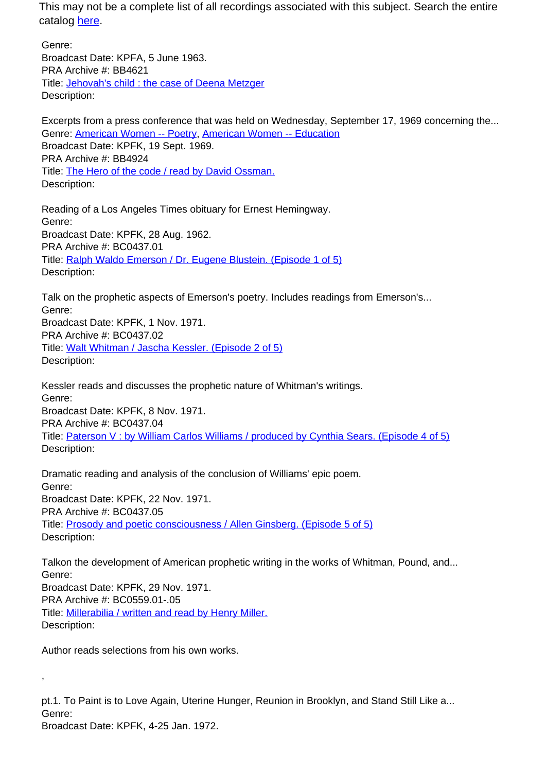Genre: Broadcast Date: KPFA, 5 June 1963. PRA Archive #: BB4621 Title: Jehovah's child : the case of Deena Metzger Description:

Excerpts from a press conference that was held on Wednesday, September 17, 1969 concerning the... Genre: American Women -- Poetry, American Women -- Education Broadcast Date: KPFK, 19 Sept. 1969. PRA Archive #: BB4924 Title: The Hero of the code / read by David Ossman. Description:

Reading of a Los Angeles Times obituary for Ernest Hemingway. Genre: Broadcast Date: KPFK, 28 Aug. 1962. PRA Archive #: BC0437.01 Title: Ralph Waldo Emerson / Dr. Eugene Blustein. (Episode 1 of 5) Description:

Talk on the prophetic aspects of Emerson's poetry. Includes readings from Emerson's... Genre: Broadcast Date: KPFK, 1 Nov. 1971. PRA Archive #: BC0437.02 Title: Walt Whitman / Jascha Kessler. (Episode 2 of 5) Description:

Kessler reads and discusses the prophetic nature of Whitman's writings. Genre: Broadcast Date: KPFK, 8 Nov. 1971. PRA Archive #: BC0437.04 Title: Paterson V : by William Carlos Williams / produced by Cynthia Sears. (Episode 4 of 5) Description:

Dramatic reading and analysis of the conclusion of Williams' epic poem. Genre: Broadcast Date: KPFK, 22 Nov. 1971. PRA Archive #: BC0437.05 Title: Prosody and poetic consciousness / Allen Ginsberg. (Episode 5 of 5) Description:

Talkon the development of American prophetic writing in the works of Whitman, Pound, and... Genre: Broadcast Date: KPFK, 29 Nov. 1971. PRA Archive #: BC0559.01-.05 Title: Millerabilia / written and read by Henry Miller. Description:

Author reads selections from his own works.

,

pt.1. To Paint is to Love Again, Uterine Hunger, Reunion in Brooklyn, and Stand Still Like a... Genre: Broadcast Date: KPFK, 4-25 Jan. 1972.